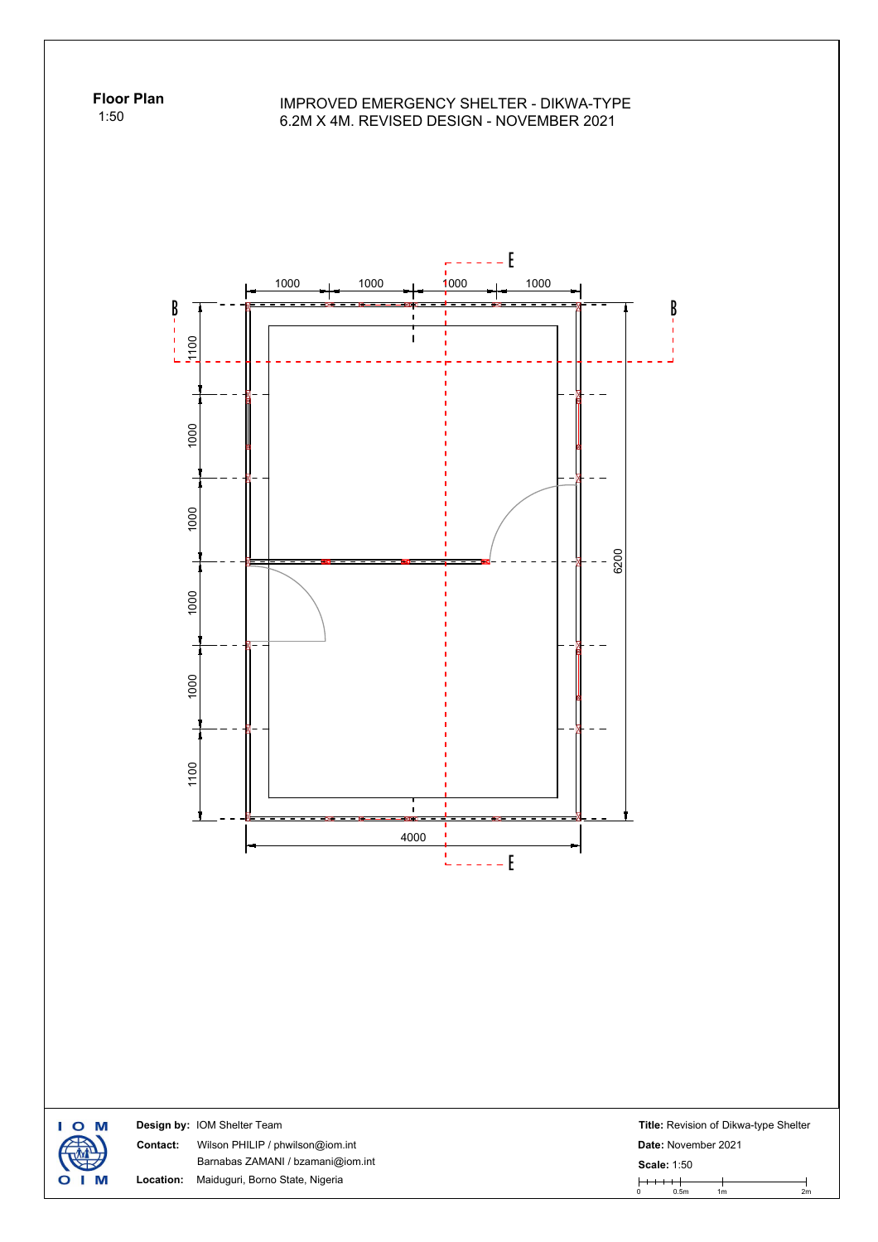**Floor Plan** 1:50

## IMPROVED EMERGENCY SHELTER - DIKWA-TYPE 6.2M X 4M. REVISED DESIGN - NOVEMBER 2021



I O M **Design by:** IOM Shelter Team **Title:** Revision of Dikwa-type Shelter **Contact:** Wilson PHILIP / phwilson@iom.int **Date:** November 2021 **Scale:** 1:50<br>
0 0.5m 1m 2m Barnabas ZAMANI / bzamani@iom.int **Scale:** 1:50 М **Location:** Maiduguri, Borno State, Nigeria  $\mathbf O$ п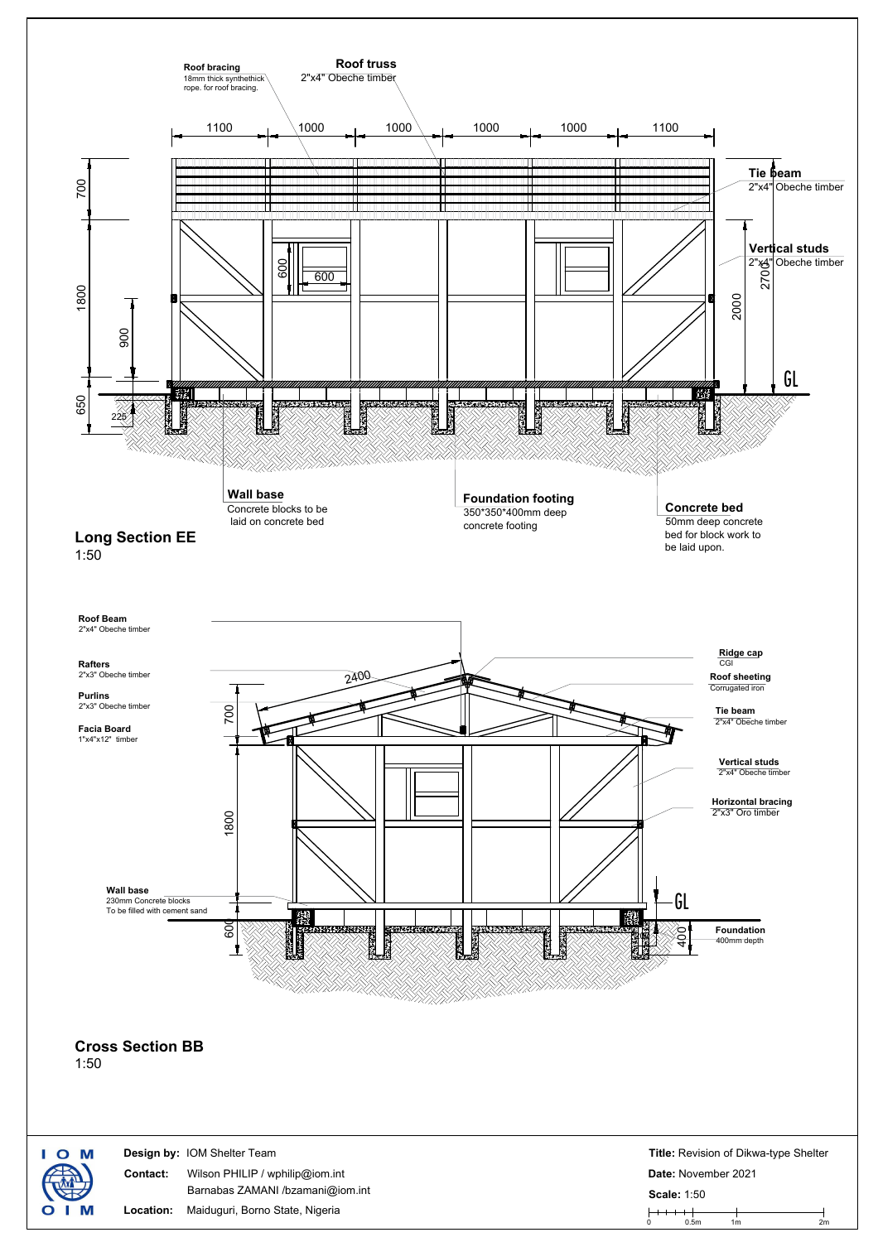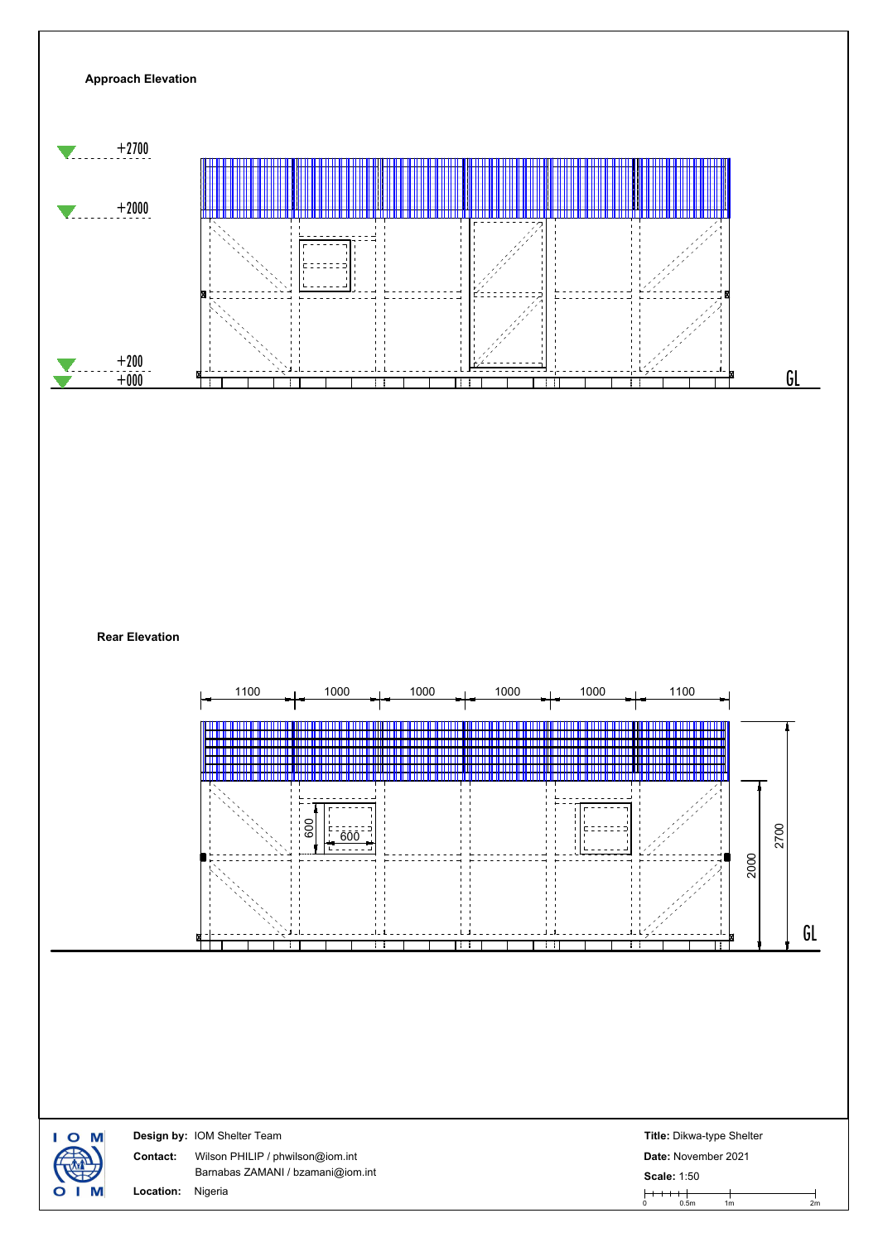